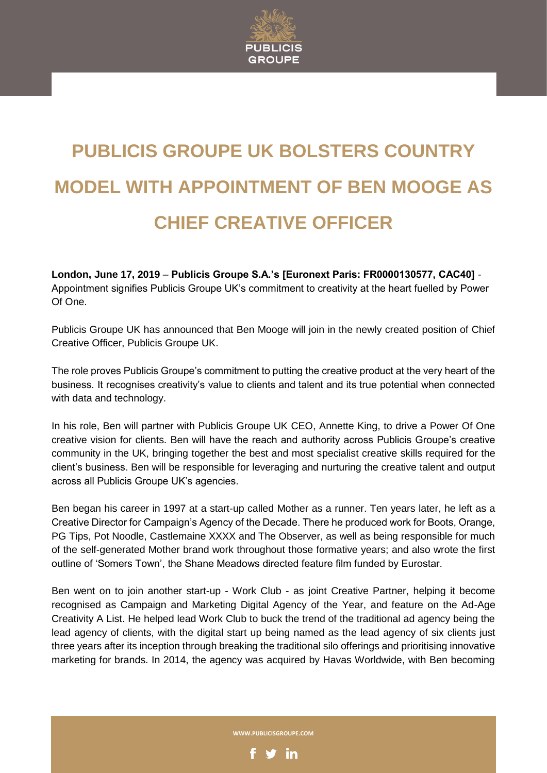

## **PUBLICIS GROUPE UK BOLSTERS COUNTRY MODEL WITH APPOINTMENT OF BEN MOOGE AS CHIEF CREATIVE OFFICER**

**London, June 17, 2019** – **Publicis Groupe S.A.'s [Euronext Paris: FR0000130577, CAC40]** - Appointment signifies Publicis Groupe UK's commitment to creativity at the heart fuelled by Power Of One.

Publicis Groupe UK has announced that Ben Mooge will join in the newly created position of Chief Creative Officer, Publicis Groupe UK.

The role proves Publicis Groupe's commitment to putting the creative product at the very heart of the business. It recognises creativity's value to clients and talent and its true potential when connected with data and technology.

In his role, Ben will partner with Publicis Groupe UK CEO, Annette King, to drive a Power Of One creative vision for clients. Ben will have the reach and authority across Publicis Groupe's creative community in the UK, bringing together the best and most specialist creative skills required for the client's business. Ben will be responsible for leveraging and nurturing the creative talent and output across all Publicis Groupe UK's agencies.

Ben began his career in 1997 at a start-up called Mother as a runner. Ten years later, he left as a Creative Director for Campaign's Agency of the Decade. There he produced work for Boots, Orange, PG Tips, Pot Noodle, Castlemaine XXXX and The Observer, as well as being responsible for much of the self-generated Mother brand work throughout those formative years; and also wrote the first outline of 'Somers Town', the Shane Meadows directed feature film funded by Eurostar.

Ben went on to join another start-up - Work Club - as joint Creative Partner, helping it become recognised as Campaign and Marketing Digital Agency of the Year, and feature on the Ad-Age Creativity A List. He helped lead Work Club to buck the trend of the traditional ad agency being the lead agency of clients, with the digital start up being named as the lead agency of six clients just three years after its inception through breaking the traditional silo offerings and prioritising innovative marketing for brands. In 2014, the agency was acquired by Havas Worldwide, with Ben becoming

**WWW.PUBLICISGROUPE.COM**